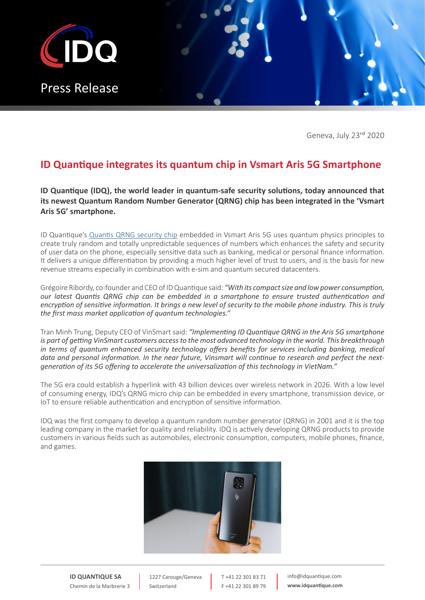

Geneva, July 23rd 2020

## **ID Quantique integrates its quantum chip in Vsmart Aris 5G Smartphone**

**ID Quantique (IDQ), the world leader in quantum-safe security solutions, today announced that its newest Quantum Random Number Generator (QRNG) chip has been integrated in the 'Vsmart Aris 5G' smartphone.**

ID Quantique's [Quantis QRNG security chip](https://www.idquantique.com/random-number-generation/products/quantis-qrng-chip/) embedded in Vsmart Aris 5G uses quantum physics principles to create truly random and totally unpredictable sequences of numbers which enhances the safety and security of user data on the phone, especially sensitive data such as banking, medical or personal finance information. It delivers a unique differentiation by providing a much higher level of trust to users, and is the basis for new revenue streams especially in combination with e-sim and quantum secured datacenters.

Grégoire Ribordy, co-founder and CEO of ID Quantique said: *"With its compact size and low power consumption, our latest Quantis QRNG chip can be embedded in a smartphone to ensure trusted authentication and encryption of sensitive information. It brings a new level of security to the mobile phone industry. This is truly the first mass market application of quantum technologies."*

Tran Minh Trung, Deputy CEO of VinSmart said: *"Implementing ID Quantique QRNG in the Aris 5G smartphone is part of getting VinSmart customers access to the most advanced technology in the world. This breakthrough in terms of quantum enhanced security technology offers benefits for services including banking, medical data and personal information. In the near future, Vinsmart will continue to research and perfect the nextgeneration of its 5G offering to accelerate the universalization of this technology in VietNam."*

The 5G era could establish a hyperlink with 43 billion devices over wireless network in 2026. With a low level of consuming energy, IDQ's QRNG micro chip can be embedded in every smartphone, transmission device, or IoT to ensure reliable authentication and encryption of sensitive information.

IDQ was the first company to develop a quantum random number generator (QRNG) in 2001 and it is the top leading company in the market for quality and reliability. IDQ is actively developing QRNG products to provide customers in various fields such as automobiles, electronic consumption, computers, mobile phones, finance, and games.



**ID QUANTIQUE SA** Chemin de la Marbrerie 3

1227 Carouge/Geneva Switzerland

T +41 22 301 83 71 F +41 22 301 89 79 info@idquantique.com **www.idquantique.com**